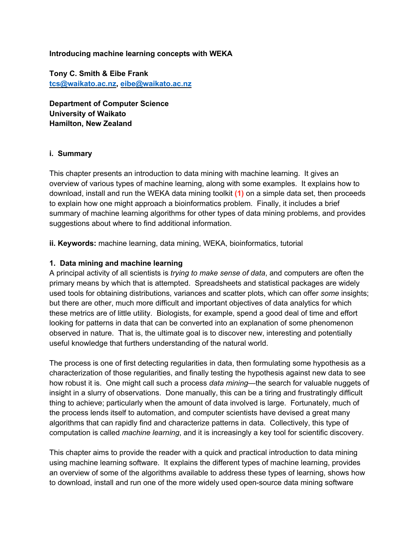**Introducing machine learning concepts with WEKA**

**Tony C. Smith & Eibe Frank tcs@waikato.ac.nz, eibe@waikato.ac.nz**

**Department of Computer Science University of Waikato Hamilton, New Zealand**

#### **i. Summary**

This chapter presents an introduction to data mining with machine learning. It gives an overview of various types of machine learning, along with some examples. It explains how to download, install and run the WEKA data mining toolkit **(1)** on a simple data set, then proceeds to explain how one might approach a bioinformatics problem. Finally, it includes a brief summary of machine learning algorithms for other types of data mining problems, and provides suggestions about where to find additional information.

**ii. Keywords:** machine learning, data mining, WEKA, bioinformatics, tutorial

#### **1. Data mining and machine learning**

A principal activity of all scientists is *trying to make sense of data*, and computers are often the primary means by which that is attempted. Spreadsheets and statistical packages are widely used tools for obtaining distributions, variances and scatter plots, which can offer *some* insights; but there are other, much more difficult and important objectives of data analytics for which these metrics are of little utility. Biologists, for example, spend a good deal of time and effort looking for patterns in data that can be converted into an explanation of some phenomenon observed in nature. That is, the ultimate goal is to discover new, interesting and potentially useful knowledge that furthers understanding of the natural world.

The process is one of first detecting regularities in data, then formulating some hypothesis as a characterization of those regularities, and finally testing the hypothesis against new data to see how robust it is. One might call such a process *data mining*—the search for valuable nuggets of insight in a slurry of observations. Done manually, this can be a tiring and frustratingly difficult thing to achieve; particularly when the amount of data involved is large. Fortunately, much of the process lends itself to automation, and computer scientists have devised a great many algorithms that can rapidly find and characterize patterns in data. Collectively, this type of computation is called *machine learning*, and it is increasingly a key tool for scientific discovery.

This chapter aims to provide the reader with a quick and practical introduction to data mining using machine learning software. It explains the different types of machine learning, provides an overview of some of the algorithms available to address these types of learning, shows how to download, install and run one of the more widely used open-source data mining software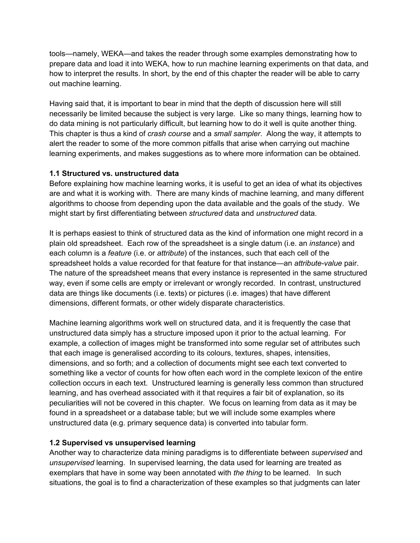tools—namely, WEKA—and takes the reader through some examples demonstrating how to prepare data and load it into WEKA, how to run machine learning experiments on that data, and how to interpret the results. In short, by the end of this chapter the reader will be able to carry out machine learning.

Having said that, it is important to bear in mind that the depth of discussion here will still necessarily be limited because the subject is very large. Like so many things, learning how to do data mining is not particularly difficult, but learning how to do it well is quite another thing. This chapter is thus a kind of *crash course* and a *small sampler*. Along the way, it attempts to alert the reader to some of the more common pitfalls that arise when carrying out machine learning experiments, and makes suggestions as to where more information can be obtained.

# **1.1 Structured vs. unstructured data**

Before explaining how machine learning works, it is useful to get an idea of what its objectives are and what it is working with. There are many kinds of machine learning, and many different algorithms to choose from depending upon the data available and the goals of the study. We might start by first differentiating between *structured* data and *unstructured* data.

It is perhaps easiest to think of structured data as the kind of information one might record in a plain old spreadsheet. Each row of the spreadsheet is a single datum (i.e. an *instance*) and each column is a *feature* (i.e. or *attribute*) of the instances, such that each cell of the spreadsheet holds a value recorded for that feature for that instance—an *attribute-value* pair. The nature of the spreadsheet means that every instance is represented in the same structured way, even if some cells are empty or irrelevant or wrongly recorded. In contrast, unstructured data are things like documents (i.e. texts) or pictures (i.e. images) that have different dimensions, different formats, or other widely disparate characteristics.

Machine learning algorithms work well on structured data, and it is frequently the case that unstructured data simply has a structure imposed upon it prior to the actual learning. For example, a collection of images might be transformed into some regular set of attributes such that each image is generalised according to its colours, textures, shapes, intensities, dimensions, and so forth; and a collection of documents might see each text converted to something like a vector of counts for how often each word in the complete lexicon of the entire collection occurs in each text. Unstructured learning is generally less common than structured learning, and has overhead associated with it that requires a fair bit of explanation, so its peculiarities will not be covered in this chapter. We focus on learning from data as it may be found in a spreadsheet or a database table; but we will include some examples where unstructured data (e.g. primary sequence data) is converted into tabular form.

# **1.2 Supervised vs unsupervised learning**

Another way to characterize data mining paradigms is to differentiate between *supervised* and *unsupervised* learning. In supervised learning, the data used for learning are treated as exemplars that have in some way been annotated with *the thing* to be learned. In such situations, the goal is to find a characterization of these examples so that judgments can later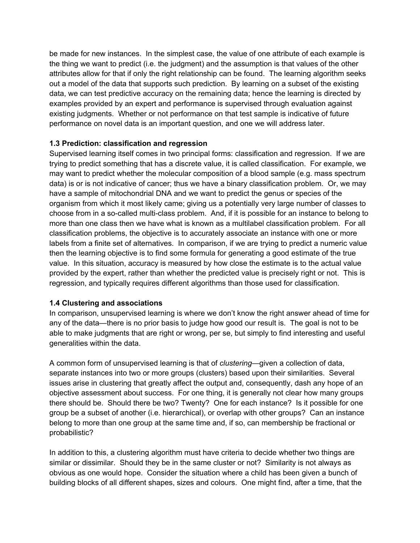be made for new instances. In the simplest case, the value of one attribute of each example is the thing we want to predict (i.e. the judgment) and the assumption is that values of the other attributes allow for that if only the right relationship can be found. The learning algorithm seeks out a model of the data that supports such prediction. By learning on a subset of the existing data, we can test predictive accuracy on the remaining data; hence the learning is directed by examples provided by an expert and performance is supervised through evaluation against existing judgments. Whether or not performance on that test sample is indicative of future performance on novel data is an important question, and one we will address later.

## **1.3 Prediction: classification and regression**

Supervised learning itself comes in two principal forms: classification and regression. If we are trying to predict something that has a discrete value, it is called classification. For example, we may want to predict whether the molecular composition of a blood sample (e.g. mass spectrum data) is or is not indicative of cancer; thus we have a binary classification problem. Or, we may have a sample of mitochondrial DNA and we want to predict the genus or species of the organism from which it most likely came; giving us a potentially very large number of classes to choose from in a so-called multi-class problem. And, if it is possible for an instance to belong to more than one class then we have what is known as a multilabel classification problem. For all classification problems, the objective is to accurately associate an instance with one or more labels from a finite set of alternatives. In comparison, if we are trying to predict a numeric value then the learning objective is to find some formula for generating a good estimate of the true value. In this situation, accuracy is measured by how close the estimate is to the actual value provided by the expert, rather than whether the predicted value is precisely right or not. This is regression, and typically requires different algorithms than those used for classification.

### **1.4 Clustering and associations**

In comparison, unsupervised learning is where we don't know the right answer ahead of time for any of the data—there is no prior basis to judge how good our result is. The goal is not to be able to make judgments that are right or wrong, per se, but simply to find interesting and useful generalities within the data.

A common form of unsupervised learning is that of *clustering*—given a collection of data, separate instances into two or more groups (clusters) based upon their similarities. Several issues arise in clustering that greatly affect the output and, consequently, dash any hope of an objective assessment about success. For one thing, it is generally not clear how many groups there should be. Should there be two? Twenty? One for each instance? Is it possible for one group be a subset of another (i.e. hierarchical), or overlap with other groups? Can an instance belong to more than one group at the same time and, if so, can membership be fractional or probabilistic?

In addition to this, a clustering algorithm must have criteria to decide whether two things are similar or dissimilar. Should they be in the same cluster or not? Similarity is not always as obvious as one would hope. Consider the situation where a child has been given a bunch of building blocks of all different shapes, sizes and colours. One might find, after a time, that the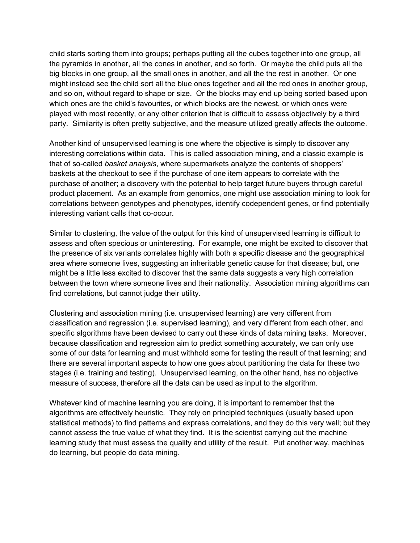child starts sorting them into groups; perhaps putting all the cubes together into one group, all the pyramids in another, all the cones in another, and so forth. Or maybe the child puts all the big blocks in one group, all the small ones in another, and all the the rest in another. Or one might instead see the child sort all the blue ones together and all the red ones in another group, and so on, without regard to shape or size. Or the blocks may end up being sorted based upon which ones are the child's favourites, or which blocks are the newest, or which ones were played with most recently, or any other criterion that is difficult to assess objectively by a third party. Similarity is often pretty subjective, and the measure utilized greatly affects the outcome.

Another kind of unsupervised learning is one where the objective is simply to discover any interesting correlations within data. This is called association mining, and a classic example is that of so-called *basket analysis*, where supermarkets analyze the contents of shoppers' baskets at the checkout to see if the purchase of one item appears to correlate with the purchase of another; a discovery with the potential to help target future buyers through careful product placement. As an example from genomics, one might use association mining to look for correlations between genotypes and phenotypes, identify codependent genes, or find potentially interesting variant calls that co-occur.

Similar to clustering, the value of the output for this kind of unsupervised learning is difficult to assess and often specious or uninteresting. For example, one might be excited to discover that the presence of six variants correlates highly with both a specific disease and the geographical area where someone lives, suggesting an inheritable genetic cause for that disease; but, one might be a little less excited to discover that the same data suggests a very high correlation between the town where someone lives and their nationality. Association mining algorithms can find correlations, but cannot judge their utility.

Clustering and association mining (i.e. unsupervised learning) are very different from classification and regression (i.e. supervised learning), and very different from each other, and specific algorithms have been devised to carry out these kinds of data mining tasks. Moreover, because classification and regression aim to predict something accurately, we can only use some of our data for learning and must withhold some for testing the result of that learning; and there are several important aspects to how one goes about partitioning the data for these two stages (i.e. training and testing). Unsupervised learning, on the other hand, has no objective measure of success, therefore all the data can be used as input to the algorithm.

Whatever kind of machine learning you are doing, it is important to remember that the algorithms are effectively heuristic. They rely on principled techniques (usually based upon statistical methods) to find patterns and express correlations, and they do this very well; but they cannot assess the true value of what they find. It is the scientist carrying out the machine learning study that must assess the quality and utility of the result. Put another way, machines do learning, but people do data mining.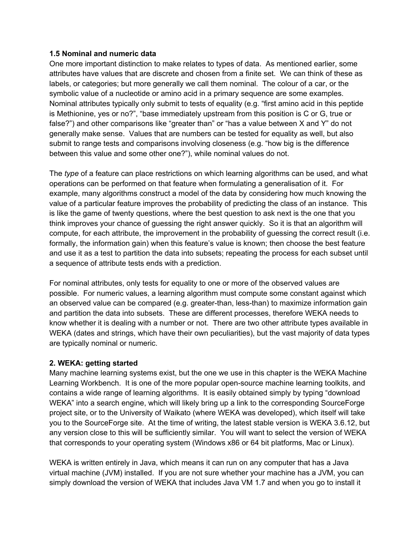#### **1.5 Nominal and numeric data**

One more important distinction to make relates to types of data. As mentioned earlier, some attributes have values that are discrete and chosen from a finite set. We can think of these as labels, or categories; but more generally we call them nominal. The colour of a car, or the symbolic value of a nucleotide or amino acid in a primary sequence are some examples. Nominal attributes typically only submit to tests of equality (e.g. "first amino acid in this peptide is Methionine, yes or no?", "base immediately upstream from this position is C or G, true or false?") and other comparisons like "greater than" or "has a value between X and Y" do not generally make sense. Values that are numbers can be tested for equality as well, but also submit to range tests and comparisons involving closeness (e.g. "how big is the difference between this value and some other one?"), while nominal values do not.

The *type* of a feature can place restrictions on which learning algorithms can be used, and what operations can be performed on that feature when formulating a generalisation of it. For example, many algorithms construct a model of the data by considering how much knowing the value of a particular feature improves the probability of predicting the class of an instance. This is like the game of twenty questions, where the best question to ask next is the one that you think improves your chance of guessing the right answer quickly. So it is that an algorithm will compute, for each attribute, the improvement in the probability of guessing the correct result (i.e. formally, the information gain) when this feature's value is known; then choose the best feature and use it as a test to partition the data into subsets; repeating the process for each subset until a sequence of attribute tests ends with a prediction.

For nominal attributes, only tests for equality to one or more of the observed values are possible. For numeric values, a learning algorithm must compute some constant against which an observed value can be compared (e.g. greater-than, less-than) to maximize information gain and partition the data into subsets. These are different processes, therefore WEKA needs to know whether it is dealing with a number or not. There are two other attribute types available in WEKA (dates and strings, which have their own peculiarities), but the vast majority of data types are typically nominal or numeric.

### **2. WEKA: getting started**

Many machine learning systems exist, but the one we use in this chapter is the WEKA Machine Learning Workbench. It is one of the more popular open-source machine learning toolkits, and contains a wide range of learning algorithms. It is easily obtained simply by typing "download WEKA" into a search engine, which will likely bring up a link to the corresponding SourceForge project site, or to the University of Waikato (where WEKA was developed), which itself will take you to the SourceForge site. At the time of writing, the latest stable version is WEKA 3.6.12, but any version close to this will be sufficiently similar. You will want to select the version of WEKA that corresponds to your operating system (Windows x86 or 64 bit platforms, Mac or Linux).

WEKA is written entirely in Java, which means it can run on any computer that has a Java virtual machine (JVM) installed. If you are not sure whether your machine has a JVM, you can simply download the version of WEKA that includes Java VM 1.7 and when you go to install it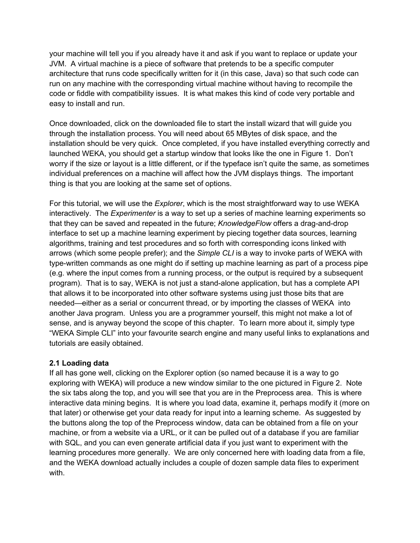your machine will tell you if you already have it and ask if you want to replace or update your JVM. A virtual machine is a piece of software that pretends to be a specific computer architecture that runs code specifically written for it (in this case, Java) so that such code can run on any machine with the corresponding virtual machine without having to recompile the code or fiddle with compatibility issues. It is what makes this kind of code very portable and easy to install and run.

Once downloaded, click on the downloaded file to start the install wizard that will guide you through the installation process. You will need about 65 MBytes of disk space, and the installation should be very quick. Once completed, if you have installed everything correctly and launched WEKA, you should get a startup window that looks like the one in Figure 1. Don't worry if the size or layout is a little different, or if the typeface isn't quite the same, as sometimes individual preferences on a machine will affect how the JVM displays things. The important thing is that you are looking at the same set of options.

For this tutorial, we will use the *Explorer*, which is the most straightforward way to use WEKA interactively. The *Experimenter* is a way to set up a series of machine learning experiments so that they can be saved and repeated in the future; *KnowledgeFlow* offers a drag-and-drop interface to set up a machine learning experiment by piecing together data sources, learning algorithms, training and test procedures and so forth with corresponding icons linked with arrows (which some people prefer); and the *Simple CLI* is a way to invoke parts of WEKA with type-written commands as one might do if setting up machine learning as part of a process pipe (e.g. where the input comes from a running process, or the output is required by a subsequent program). That is to say, WEKA is not just a stand-alone application, but has a complete API that allows it to be incorporated into other software systems using just those bits that are needed—either as a serial or concurrent thread, or by importing the classes of WEKA into another Java program. Unless you are a programmer yourself, this might not make a lot of sense, and is anyway beyond the scope of this chapter. To learn more about it, simply type "WEKA Simple CLI" into your favourite search engine and many useful links to explanations and tutorials are easily obtained.

### **2.1 Loading data**

If all has gone well, clicking on the Explorer option (so named because it is a way to go exploring with WEKA) will produce a new window similar to the one pictured in Figure 2. Note the six tabs along the top, and you will see that you are in the Preprocess area. This is where interactive data mining begins. It is where you load data, examine it, perhaps modify it (more on that later) or otherwise get your data ready for input into a learning scheme. As suggested by the buttons along the top of the Preprocess window, data can be obtained from a file on your machine, or from a website via a URL, or it can be pulled out of a database if you are familiar with SQL, and you can even generate artificial data if you just want to experiment with the learning procedures more generally. We are only concerned here with loading data from a file, and the WEKA download actually includes a couple of dozen sample data files to experiment with.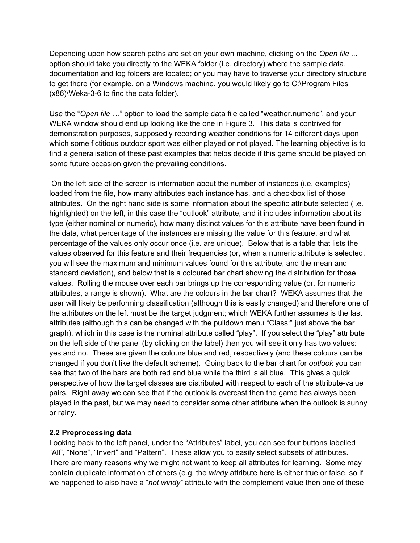Depending upon how search paths are set on your own machine, clicking on the *Open file ...* option should take you directly to the WEKA folder (i.e. directory) where the sample data, documentation and log folders are located; or you may have to traverse your directory structure to get there (for example, on a Windows machine, you would likely go to C:\Program Files (x86)\Weka-3-6 to find the data folder).

Use the "*Open file …*" option to load the sample data file called "weather.numeric", and your WEKA window should end up looking like the one in Figure 3. This data is contrived for demonstration purposes, supposedly recording weather conditions for 14 different days upon which some fictitious outdoor sport was either played or not played. The learning objective is to find a generalisation of these past examples that helps decide if this game should be played on some future occasion given the prevailing conditions.

On the left side of the screen is information about the number of instances (i.e. examples) loaded from the file, how many attributes each instance has, and a checkbox list of those attributes. On the right hand side is some information about the specific attribute selected (i.e. highlighted) on the left, in this case the "outlook" attribute, and it includes information about its type (either nominal or numeric), how many distinct values for this attribute have been found in the data, what percentage of the instances are missing the value for this feature, and what percentage of the values only occur once (i.e. are unique). Below that is a table that lists the values observed for this feature and their frequencies (or, when a numeric attribute is selected, you will see the maximum and minimum values found for this attribute, and the mean and standard deviation), and below that is a coloured bar chart showing the distribution for those values. Rolling the mouse over each bar brings up the corresponding value (or, for numeric attributes, a range is shown). What are the colours in the bar chart? WEKA assumes that the user will likely be performing classification (although this is easily changed) and therefore one of the attributes on the left must be the target judgment; which WEKA further assumes is the last attributes (although this can be changed with the pulldown menu "Class:" just above the bar graph), which in this case is the nominal attribute called "play". If you select the "play" attribute on the left side of the panel (by clicking on the label) then you will see it only has two values: yes and no. These are given the colours blue and red, respectively (and these colours can be changed if you don't like the default scheme). Going back to the bar chart for *outlook* you can see that two of the bars are both red and blue while the third is all blue. This gives a quick perspective of how the target classes are distributed with respect to each of the attribute-value pairs. Right away we can see that if the outlook is overcast then the game has always been played in the past, but we may need to consider some other attribute when the outlook is sunny or rainy.

### **2.2 Preprocessing data**

Looking back to the left panel, under the "Attributes" label, you can see four buttons labelled "All", "None", "Invert" and "Pattern". These allow you to easily select subsets of attributes. There are many reasons why we might not want to keep all attributes for learning. Some may contain duplicate information of others (e.g. the *windy* attribute here is either true or false, so if we happened to also have a "*not windy"* attribute with the complement value then one of these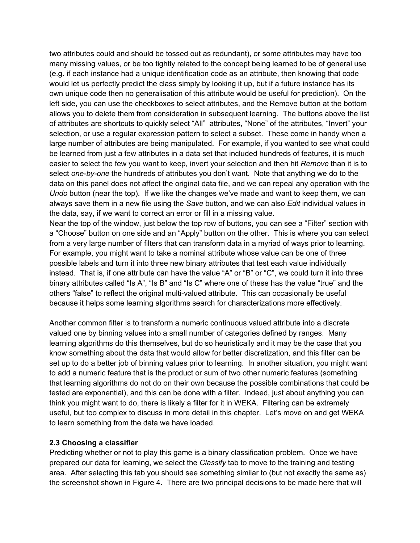two attributes could and should be tossed out as redundant), or some attributes may have too many missing values, or be too tightly related to the concept being learned to be of general use (e.g. if each instance had a unique identification code as an attribute, then knowing that code would let us perfectly predict the class simply by looking it up, but if a future instance has its own unique code then no generalisation of this attribute would be useful for prediction). On the left side, you can use the checkboxes to select attributes, and the Remove button at the bottom allows you to delete them from consideration in subsequent learning. The buttons above the list of attributes are shortcuts to quickly select "All" attributes, "None" of the attributes, "Invert" your selection, or use a regular expression pattern to select a subset. These come in handy when a large number of attributes are being manipulated. For example, if you wanted to see what could be learned from just a few attributes in a data set that included hundreds of features, it is much easier to select the few you want to keep, invert your selection and then hit *Remove* than it is to select *one-by-one* the hundreds of attributes you don't want. Note that anything we do to the data on this panel does not affect the original data file, and we can repeal any operation with the *Undo* button (near the top). If we like the changes we've made and want to keep them, we can always save them in a new file using the *Save* button, and we can also *Edit* individual values in the data, say, if we want to correct an error or fill in a missing value.

Near the top of the window, just below the top row of buttons, you can see a "Filter" section with a "Choose" button on one side and an "Apply" button on the other. This is where you can select from a very large number of filters that can transform data in a myriad of ways prior to learning. For example, you might want to take a nominal attribute whose value can be one of three possible labels and turn it into three new binary attributes that test each value individually instead. That is, if one attribute can have the value "A" or "B" or "C", we could turn it into three binary attributes called "Is A", "Is B" and "Is C" where one of these has the value "true" and the others "false" to reflect the original multi-valued attribute. This can occasionally be useful because it helps some learning algorithms search for characterizations more effectively.

Another common filter is to transform a numeric continuous valued attribute into a discrete valued one by binning values into a small number of categories defined by ranges. Many learning algorithms do this themselves, but do so heuristically and it may be the case that you know something about the data that would allow for better discretization, and this filter can be set up to do a better job of binning values prior to learning. In another situation, you might want to add a numeric feature that is the product or sum of two other numeric features (something that learning algorithms do not do on their own because the possible combinations that could be tested are exponential), and this can be done with a filter. Indeed, just about anything you can think you might want to do, there is likely a filter for it in WEKA. Filtering can be extremely useful, but too complex to discuss in more detail in this chapter. Let's move on and get WEKA to learn something from the data we have loaded.

### **2.3 Choosing a classifier**

Predicting whether or not to play this game is a binary classification problem. Once we have prepared our data for learning, we select the *Classify* tab to move to the training and testing area. After selecting this tab you should see something similar to (but not exactly the same as) the screenshot shown in Figure 4. There are two principal decisions to be made here that will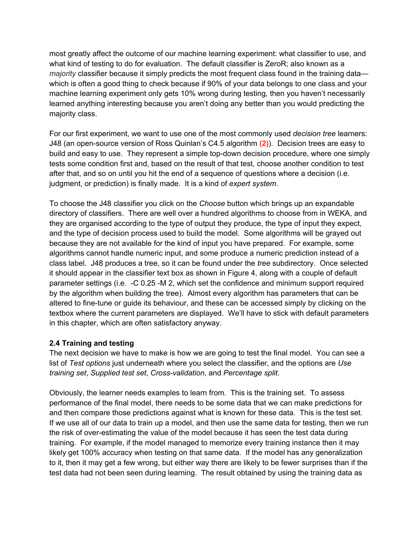most greatly affect the outcome of our machine learning experiment: what classifier to use, and what kind of testing to do for evaluation. The default classifier is ZeroR; also known as a *majority* classifier because it simply predicts the most frequent class found in the training data which is often a good thing to check because if 90% of your data belongs to one class and your machine learning experiment only gets 10% wrong during testing, then you haven't necessarily learned anything interesting because you aren't doing any better than you would predicting the majority class.

For our first experiment, we want to use one of the most commonly used *decision tree* learners: J48 (an open-source version of Ross Quinlan's C4.5 algorithm **(2)**). Decision trees are easy to build and easy to use. They represent a simple top-down decision procedure, where one simply tests some condition first and, based on the result of that test, choose another condition to test after that, and so on until you hit the end of a sequence of questions where a decision (i.e. judgment, or prediction) is finally made. It is a kind of *expert system*.

To choose the J48 classifier you click on the *Choose* button which brings up an expandable directory of classifiers. There are well over a hundred algorithms to choose from in WEKA, and they are organised according to the type of output they produce, the type of input they expect, and the type of decision process used to build the model. Some algorithms will be grayed out because they are not available for the kind of input you have prepared. For example, some algorithms cannot handle numeric input, and some produce a numeric prediction instead of a class label. J48 produces a tree, so it can be found under the *tree* subdirectory. Once selected it should appear in the classifier text box as shown in Figure 4, along with a couple of default parameter settings (i.e. -C 0.25 -M 2, which set the confidence and minimum support required by the algorithm when building the tree). Almost every algorithm has parameters that can be altered to fine-tune or guide its behaviour, and these can be accessed simply by clicking on the textbox where the current parameters are displayed. We'll have to stick with default parameters in this chapter, which are often satisfactory anyway.

# **2.4 Training and testing**

The next decision we have to make is how we are going to test the final model. You can see a list of *Test options* just underneath where you select the classifier, and the options are *Use training set*, *Supplied test set*, *Cross-validation*, and *Percentage split*.

Obviously, the learner needs examples to learn from. This is the training set. To assess performance of the final model, there needs to be some data that we can make predictions for and then compare those predictions against what is known for these data. This is the test set. If we use all of our data to train up a model, and then use the same data for testing, then we run the risk of over-estimating the value of the model because it has seen the test data during training. For example, if the model managed to memorize every training instance then it may likely get 100% accuracy when testing on that same data. If the model has any generalization to it, then it may get a few wrong, but either way there are likely to be fewer surprises than if the test data had not been seen during learning. The result obtained by using the training data as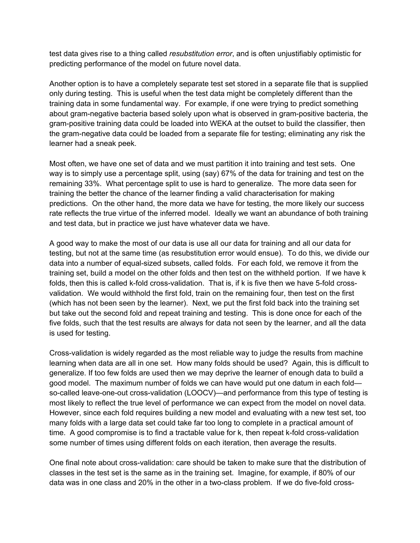test data gives rise to a thing called *resubstitution error*, and is often unjustifiably optimistic for predicting performance of the model on future novel data.

Another option is to have a completely separate test set stored in a separate file that is supplied only during testing. This is useful when the test data might be completely different than the training data in some fundamental way. For example, if one were trying to predict something about gram-negative bacteria based solely upon what is observed in gram-positive bacteria, the gram-positive training data could be loaded into WEKA at the outset to build the classifier, then the gram-negative data could be loaded from a separate file for testing; eliminating any risk the learner had a sneak peek.

Most often, we have one set of data and we must partition it into training and test sets. One way is to simply use a percentage split, using (say) 67% of the data for training and test on the remaining 33%. What percentage split to use is hard to generalize. The more data seen for training the better the chance of the learner finding a valid characterisation for making predictions. On the other hand, the more data we have for testing, the more likely our success rate reflects the true virtue of the inferred model. Ideally we want an abundance of both training and test data, but in practice we just have whatever data we have.

A good way to make the most of our data is use all our data for training and all our data for testing, but not at the same time (as resubstitution error would ensue). To do this, we divide our data into a number of equal-sized subsets, called folds. For each fold, we remove it from the training set, build a model on the other folds and then test on the withheld portion. If we have k folds, then this is called k-fold cross-validation. That is, if k is five then we have 5-fold crossvalidation. We would withhold the first fold, train on the remaining four, then test on the first (which has not been seen by the learner). Next, we put the first fold back into the training set but take out the second fold and repeat training and testing. This is done once for each of the five folds, such that the test results are always for data not seen by the learner, and all the data is used for testing.

Cross-validation is widely regarded as the most reliable way to judge the results from machine learning when data are all in one set. How many folds should be used? Again, this is difficult to generalize. If too few folds are used then we may deprive the learner of enough data to build a good model. The maximum number of folds we can have would put one datum in each fold so-called leave-one-out cross-validation (LOOCV)—and performance from this type of testing is most likely to reflect the true level of performance we can expect from the model on novel data. However, since each fold requires building a new model and evaluating with a new test set, too many folds with a large data set could take far too long to complete in a practical amount of time. A good compromise is to find a tractable value for k, then repeat k-fold cross-validation some number of times using different folds on each iteration, then average the results.

One final note about cross-validation: care should be taken to make sure that the distribution of classes in the test set is the same as in the training set. Imagine, for example, if 80% of our data was in one class and 20% in the other in a two-class problem. If we do five-fold cross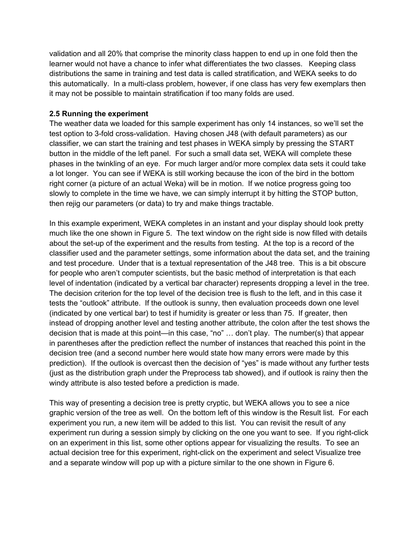validation and all 20% that comprise the minority class happen to end up in one fold then the learner would not have a chance to infer what differentiates the two classes. Keeping class distributions the same in training and test data is called stratification, and WEKA seeks to do this automatically. In a multi-class problem, however, if one class has very few exemplars then it may not be possible to maintain stratification if too many folds are used.

### **2.5 Running the experiment**

The weather data we loaded for this sample experiment has only 14 instances, so we'll set the test option to 3-fold cross-validation. Having chosen J48 (with default parameters) as our classifier, we can start the training and test phases in WEKA simply by pressing the START button in the middle of the left panel. For such a small data set, WEKA will complete these phases in the twinkling of an eye. For much larger and/or more complex data sets it could take a lot longer. You can see if WEKA is still working because the icon of the bird in the bottom right corner (a picture of an actual Weka) will be in motion. If we notice progress going too slowly to complete in the time we have, we can simply interrupt it by hitting the STOP button, then rejig our parameters (or data) to try and make things tractable.

In this example experiment, WEKA completes in an instant and your display should look pretty much like the one shown in Figure 5. The text window on the right side is now filled with details about the set-up of the experiment and the results from testing. At the top is a record of the classifier used and the parameter settings, some information about the data set, and the training and test procedure. Under that is a textual representation of the J48 tree. This is a bit obscure for people who aren't computer scientists, but the basic method of interpretation is that each level of indentation (indicated by a vertical bar character) represents dropping a level in the tree. The decision criterion for the top level of the decision tree is flush to the left, and in this case it tests the "outlook" attribute. If the outlook is sunny, then evaluation proceeds down one level (indicated by one vertical bar) to test if humidity is greater or less than 75. If greater, then instead of dropping another level and testing another attribute, the colon after the test shows the decision that is made at this point—in this case, "no" … don't play. The number(s) that appear in parentheses after the prediction reflect the number of instances that reached this point in the decision tree (and a second number here would state how many errors were made by this prediction). If the outlook is overcast then the decision of "yes" is made without any further tests (just as the distribution graph under the Preprocess tab showed), and if outlook is rainy then the windy attribute is also tested before a prediction is made.

This way of presenting a decision tree is pretty cryptic, but WEKA allows you to see a nice graphic version of the tree as well. On the bottom left of this window is the Result list. For each experiment you run, a new item will be added to this list. You can revisit the result of any experiment run during a session simply by clicking on the one you want to see. If you right-click on an experiment in this list, some other options appear for visualizing the results. To see an actual decision tree for this experiment, right-click on the experiment and select Visualize tree and a separate window will pop up with a picture similar to the one shown in Figure 6.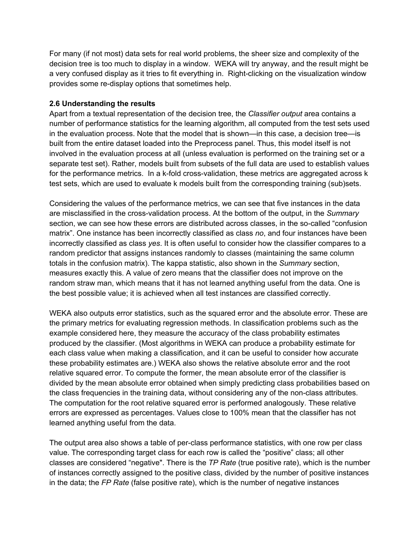For many (if not most) data sets for real world problems, the sheer size and complexity of the decision tree is too much to display in a window. WEKA will try anyway, and the result might be a very confused display as it tries to fit everything in. Right-clicking on the visualization window provides some re-display options that sometimes help.

### **2.6 Understanding the results**

Apart from a textual representation of the decision tree, the *Classifier output* area contains a number of performance statistics for the learning algorithm, all computed from the test sets used in the evaluation process. Note that the model that is shown—in this case, a decision tree—is built from the entire dataset loaded into the Preprocess panel. Thus, this model itself is not involved in the evaluation process at all (unless evaluation is performed on the training set or a separate test set). Rather, models built from subsets of the full data are used to establish values for the performance metrics. In a k-fold cross-validation, these metrics are aggregated across k test sets, which are used to evaluate k models built from the corresponding training (sub)sets.

Considering the values of the performance metrics, we can see that five instances in the data are misclassified in the cross-validation process. At the bottom of the output, in the *Summary* section, we can see how these errors are distributed across classes, in the so-called "confusion matrix". One instance has been incorrectly classified as class *no*, and four instances have been incorrectly classified as class *yes*. It is often useful to consider how the classifier compares to a random predictor that assigns instances randomly to classes (maintaining the same column totals in the confusion matrix). The kappa statistic, also shown in the *Summary* section, measures exactly this. A value of zero means that the classifier does not improve on the random straw man, which means that it has not learned anything useful from the data. One is the best possible value; it is achieved when all test instances are classified correctly.

WEKA also outputs error statistics, such as the squared error and the absolute error. These are the primary metrics for evaluating regression methods. In classification problems such as the example considered here, they measure the accuracy of the class probability estimates produced by the classifier. (Most algorithms in WEKA can produce a probability estimate for each class value when making a classification, and it can be useful to consider how accurate these probability estimates are.) WEKA also shows the relative absolute error and the root relative squared error. To compute the former, the mean absolute error of the classifier is divided by the mean absolute error obtained when simply predicting class probabilities based on the class frequencies in the training data, without considering any of the non-class attributes. The computation for the root relative squared error is performed analogously. These relative errors are expressed as percentages. Values close to 100% mean that the classifier has not learned anything useful from the data.

The output area also shows a table of per-class performance statistics, with one row per class value. The corresponding target class for each row is called the "positive" class; all other classes are considered "negative". There is the *TP Rate* (true positive rate), which is the number of instances correctly assigned to the positive class, divided by the number of positive instances in the data; the *FP Rate* (false positive rate), which is the number of negative instances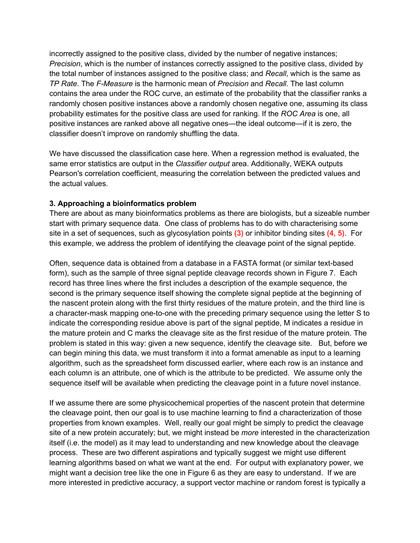incorrectly assigned to the positive class, divided by the number of negative instances; *Precision*, which is the number of instances correctly assigned to the positive class, divided by the total number of instances assigned to the positive class; and *Recall*, which is the same as *TP Rate*. The *F-Measure* is the harmonic mean of *Precision* and *Recall*. The last column contains the area under the ROC curve, an estimate of the probability that the classifier ranks a randomly chosen positive instances above a randomly chosen negative one, assuming its class probability estimates for the positive class are used for ranking. If the *ROC Area* is one, all positive instances are ranked above all negative ones—the ideal outcome—if it is zero, the classifier doesn't improve on randomly shuffling the data.

We have discussed the classification case here. When a regression method is evaluated, the same error statistics are output in the *Classifier output* area. Additionally, WEKA outputs Pearson's correlation coefficient, measuring the correlation between the predicted values and the actual values.

### **3. Approaching a bioinformatics problem**

There are about as many bioinformatics problems as there are biologists, but a sizeable number start with primary sequence data. One class of problems has to do with characterising some site in a set of sequences, such as glycosylation points **(3)** or inhibitor binding sites **(4, 5)**. For this example, we address the problem of identifying the cleavage point of the signal peptide.

Often, sequence data is obtained from a database in a FASTA format (or similar text-based form), such as the sample of three signal peptide cleavage records shown in Figure 7. Each record has three lines where the first includes a description of the example sequence, the second is the primary sequence itself showing the complete signal peptide at the beginning of the nascent protein along with the first thirty residues of the mature protein, and the third line is a character-mask mapping one-to-one with the preceding primary sequence using the letter S to indicate the corresponding residue above is part of the signal peptide, M indicates a residue in the mature protein and C marks the cleavage site as the first residue of the mature protein. The problem is stated in this way: given a new sequence, identify the cleavage site. But, before we can begin mining this data, we must transform it into a format amenable as input to a learning algorithm, such as the spreadsheet form discussed earlier, where each row is an instance and each column is an attribute, one of which is the attribute to be predicted. We assume only the sequence itself will be available when predicting the cleavage point in a future novel instance.

If we assume there are some physicochemical properties of the nascent protein that determine the cleavage point, then our goal is to use machine learning to find a characterization of those properties from known examples. Well, really our goal might be simply to predict the cleavage site of a new protein accurately; but, we might instead be *more* interested in the characterization itself (i.e. the model) as it may lead to understanding and new knowledge about the cleavage process. These are two different aspirations and typically suggest we might use different learning algorithms based on what we want at the end. For output with explanatory power, we might want a decision tree like the one in Figure 6 as they are easy to understand. If we are more interested in predictive accuracy, a support vector machine or random forest is typically a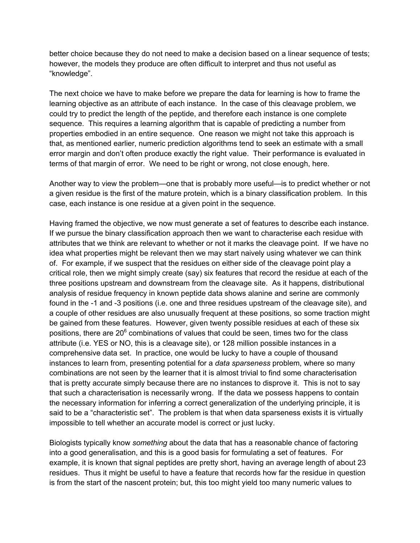better choice because they do not need to make a decision based on a linear sequence of tests; however, the models they produce are often difficult to interpret and thus not useful as "knowledge".

The next choice we have to make before we prepare the data for learning is how to frame the learning objective as an attribute of each instance. In the case of this cleavage problem, we could try to predict the length of the peptide, and therefore each instance is one complete sequence. This requires a learning algorithm that is capable of predicting a number from properties embodied in an entire sequence. One reason we might not take this approach is that, as mentioned earlier, numeric prediction algorithms tend to seek an estimate with a small error margin and don't often produce exactly the right value. Their performance is evaluated in terms of that margin of error. We need to be right or wrong, not close enough, here.

Another way to view the problem—one that is probably more useful—is to predict whether or not a given residue is the first of the mature protein, which is a binary classification problem. In this case, each instance is one residue at a given point in the sequence.

Having framed the objective, we now must generate a set of features to describe each instance. If we pursue the binary classification approach then we want to characterise each residue with attributes that we think are relevant to whether or not it marks the cleavage point. If we have no idea what properties might be relevant then we may start naively using whatever we can think of. For example, if we suspect that the residues on either side of the cleavage point play a critical role, then we might simply create (say) six features that record the residue at each of the three positions upstream and downstream from the cleavage site. As it happens, distributional analysis of residue frequency in known peptide data shows alanine and serine are commonly found in the -1 and -3 positions (i.e. one and three residues upstream of the cleavage site), and a couple of other residues are also unusually frequent at these positions, so some traction might be gained from these features. However, given twenty possible residues at each of these six positions, there are  $20^6$  combinations of values that could be seen, times two for the class attribute (i.e. YES or NO, this is a cleavage site), or 128 million possible instances in a comprehensive data set. In practice, one would be lucky to have a couple of thousand instances to learn from, presenting potential for a *data sparseness* problem, where so many combinations are not seen by the learner that it is almost trivial to find some characterisation that is pretty accurate simply because there are no instances to disprove it. This is not to say that such a characterisation is necessarily wrong. If the data we possess happens to contain the necessary information for inferring a correct generalization of the underlying principle, it is said to be a "characteristic set". The problem is that when data sparseness exists it is virtually impossible to tell whether an accurate model is correct or just lucky.

Biologists typically know *something* about the data that has a reasonable chance of factoring into a good generalisation, and this is a good basis for formulating a set of features. For example, it is known that signal peptides are pretty short, having an average length of about 23 residues. Thus it might be useful to have a feature that records how far the residue in question is from the start of the nascent protein; but, this too might yield too many numeric values to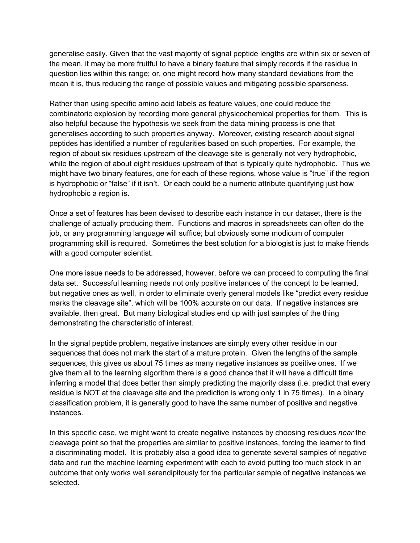generalise easily. Given that the vast majority of signal peptide lengths are within six or seven of the mean, it may be more fruitful to have a binary feature that simply records if the residue in question lies within this range; or, one might record how many standard deviations from the mean it is, thus reducing the range of possible values and mitigating possible sparseness.

Rather than using specific amino acid labels as feature values, one could reduce the combinatoric explosion by recording more general physicochemical properties for them. This is also helpful because the hypothesis we seek from the data mining process is one that generalises according to such properties anyway. Moreover, existing research about signal peptides has identified a number of regularities based on such properties. For example, the region of about six residues upstream of the cleavage site is generally not very hydrophobic, while the region of about eight residues upstream of that is typically quite hydrophobic. Thus we might have two binary features, one for each of these regions, whose value is "true" if the region is hydrophobic or "false" if it isn't. Or each could be a numeric attribute quantifying just how hydrophobic a region is.

Once a set of features has been devised to describe each instance in our dataset, there is the challenge of actually producing them. Functions and macros in spreadsheets can often do the job, or any programming language will suffice; but obviously some modicum of computer programming skill is required. Sometimes the best solution for a biologist is just to make friends with a good computer scientist.

One more issue needs to be addressed, however, before we can proceed to computing the final data set. Successful learning needs not only positive instances of the concept to be learned, but negative ones as well, in order to eliminate overly general models like "predict every residue marks the cleavage site", which will be 100% accurate on our data. If negative instances are available, then great. But many biological studies end up with just samples of the thing demonstrating the characteristic of interest.

In the signal peptide problem, negative instances are simply every other residue in our sequences that does not mark the start of a mature protein. Given the lengths of the sample sequences, this gives us about 75 times as many negative instances as positive ones. If we give them all to the learning algorithm there is a good chance that it will have a difficult time inferring a model that does better than simply predicting the majority class (i.e. predict that every residue is NOT at the cleavage site and the prediction is wrong only 1 in 75 times). In a binary classification problem, it is generally good to have the same number of positive and negative instances.

In this specific case, we might want to create negative instances by choosing residues *near* the cleavage point so that the properties are similar to positive instances, forcing the learner to find a discriminating model. It is probably also a good idea to generate several samples of negative data and run the machine learning experiment with each to avoid putting too much stock in an outcome that only works well serendipitously for the particular sample of negative instances we selected.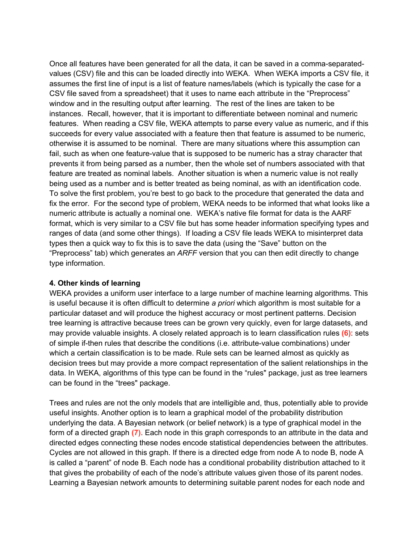Once all features have been generated for all the data, it can be saved in a comma-separatedvalues (CSV) file and this can be loaded directly into WEKA. When WEKA imports a CSV file, it assumes the first line of input is a list of feature names/labels (which is typically the case for a CSV file saved from a spreadsheet) that it uses to name each attribute in the "Preprocess" window and in the resulting output after learning. The rest of the lines are taken to be instances. Recall, however, that it is important to differentiate between nominal and numeric features. When reading a CSV file, WEKA attempts to parse every value as numeric, and if this succeeds for every value associated with a feature then that feature is assumed to be numeric, otherwise it is assumed to be nominal. There are many situations where this assumption can fail, such as when one feature-value that is supposed to be numeric has a stray character that prevents it from being parsed as a number, then the whole set of numbers associated with that feature are treated as nominal labels. Another situation is when a numeric value is not really being used as a number and is better treated as being nominal, as with an identification code. To solve the first problem, you're best to go back to the procedure that generated the data and fix the error. For the second type of problem, WEKA needs to be informed that what looks like a numeric attribute is actually a nominal one. WEKA's native file format for data is the AARF format, which is very similar to a CSV file but has some header information specifying types and ranges of data (and some other things). If loading a CSV file leads WEKA to misinterpret data types then a quick way to fix this is to save the data (using the "Save" button on the "Preprocess" tab) which generates an *ARFF* version that you can then edit directly to change type information.

### **4. Other kinds of learning**

WEKA provides a uniform user interface to a large number of machine learning algorithms. This is useful because it is often difficult to determine *a priori* which algorithm is most suitable for a particular dataset and will produce the highest accuracy or most pertinent patterns. Decision tree learning is attractive because trees can be grown very quickly, even for large datasets, and may provide valuable insights. A closely related approach is to learn classification rules **(6)**: sets of simple if-then rules that describe the conditions (i.e. attribute-value combinations) under which a certain classification is to be made. Rule sets can be learned almost as quickly as decision trees but may provide a more compact representation of the salient relationships in the data. In WEKA, algorithms of this type can be found in the "rules" package, just as tree learners can be found in the "trees" package.

Trees and rules are not the only models that are intelligible and, thus, potentially able to provide useful insights. Another option is to learn a graphical model of the probability distribution underlying the data. A Bayesian network (or belief network) is a type of graphical model in the form of a directed graph **(7)**. Each node in this graph corresponds to an attribute in the data and directed edges connecting these nodes encode statistical dependencies between the attributes. Cycles are not allowed in this graph. If there is a directed edge from node A to node B, node A is called a "parent" of node B. Each node has a conditional probability distribution attached to it that gives the probability of each of the node's attribute values given those of its parent nodes. Learning a Bayesian network amounts to determining suitable parent nodes for each node and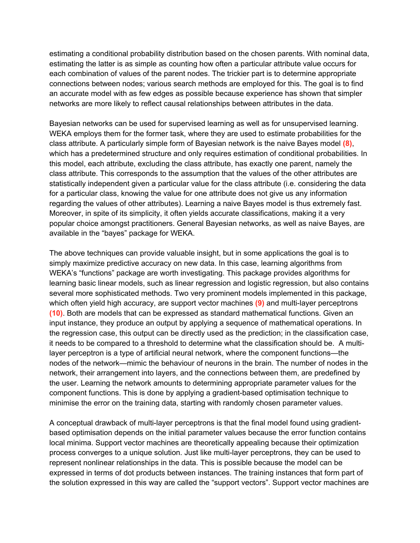estimating a conditional probability distribution based on the chosen parents. With nominal data, estimating the latter is as simple as counting how often a particular attribute value occurs for each combination of values of the parent nodes. The trickier part is to determine appropriate connections between nodes; various search methods are employed for this. The goal is to find an accurate model with as few edges as possible because experience has shown that simpler networks are more likely to reflect causal relationships between attributes in the data.

Bayesian networks can be used for supervised learning as well as for unsupervised learning. WEKA employs them for the former task, where they are used to estimate probabilities for the class attribute. A particularly simple form of Bayesian network is the naive Bayes model **(8)**, which has a predetermined structure and only requires estimation of conditional probabilities. In this model, each attribute, excluding the class attribute, has exactly one parent, namely the class attribute. This corresponds to the assumption that the values of the other attributes are statistically independent given a particular value for the class attribute (i.e. considering the data for a particular class, knowing the value for one attribute does not give us any information regarding the values of other attributes). Learning a naive Bayes model is thus extremely fast. Moreover, in spite of its simplicity, it often yields accurate classifications, making it a very popular choice amongst practitioners. General Bayesian networks, as well as naive Bayes, are available in the "bayes" package for WEKA.

The above techniques can provide valuable insight, but in some applications the goal is to simply maximize predictive accuracy on new data. In this case, learning algorithms from WEKA's "functions" package are worth investigating. This package provides algorithms for learning basic linear models, such as linear regression and logistic regression, but also contains several more sophisticated methods. Two very prominent models implemented in this package, which often yield high accuracy, are support vector machines **(9)** and multi-layer perceptrons **(10)**. Both are models that can be expressed as standard mathematical functions. Given an input instance, they produce an output by applying a sequence of mathematical operations. In the regression case, this output can be directly used as the prediction; in the classification case, it needs to be compared to a threshold to determine what the classification should be. A multilayer perceptron is a type of artificial neural network, where the component functions—the nodes of the network—mimic the behaviour of neurons in the brain. The number of nodes in the network, their arrangement into layers, and the connections between them, are predefined by the user. Learning the network amounts to determining appropriate parameter values for the component functions. This is done by applying a gradient-based optimisation technique to minimise the error on the training data, starting with randomly chosen parameter values.

A conceptual drawback of multi-layer perceptrons is that the final model found using gradientbased optimisation depends on the initial parameter values because the error function contains local minima. Support vector machines are theoretically appealing because their optimization process converges to a unique solution. Just like multi-layer perceptrons, they can be used to represent nonlinear relationships in the data. This is possible because the model can be expressed in terms of dot products between instances. The training instances that form part of the solution expressed in this way are called the "support vectors". Support vector machines are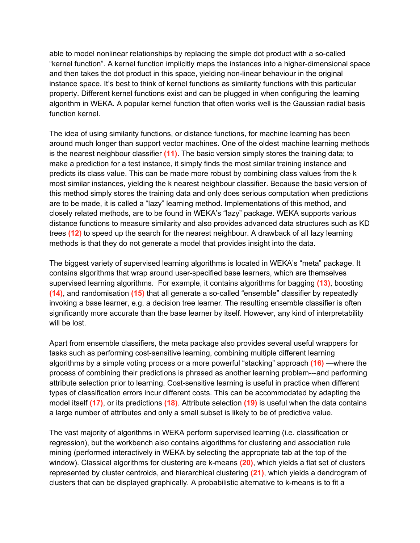able to model nonlinear relationships by replacing the simple dot product with a so-called "kernel function". A kernel function implicitly maps the instances into a higher-dimensional space and then takes the dot product in this space, yielding non-linear behaviour in the original instance space. It's best to think of kernel functions as similarity functions with this particular property. Different kernel functions exist and can be plugged in when configuring the learning algorithm in WEKA. A popular kernel function that often works well is the Gaussian radial basis function kernel.

The idea of using similarity functions, or distance functions, for machine learning has been around much longer than support vector machines. One of the oldest machine learning methods is the nearest neighbour classifier **(11)**. The basic version simply stores the training data; to make a prediction for a test instance, it simply finds the most similar training instance and predicts its class value. This can be made more robust by combining class values from the k most similar instances, yielding the k nearest neighbour classifier. Because the basic version of this method simply stores the training data and only does serious computation when predictions are to be made, it is called a "lazy" learning method. Implementations of this method, and closely related methods, are to be found in WEKA's "lazy" package. WEKA supports various distance functions to measure similarity and also provides advanced data structures such as KD trees **(12)** to speed up the search for the nearest neighbour. A drawback of all lazy learning methods is that they do not generate a model that provides insight into the data.

The biggest variety of supervised learning algorithms is located in WEKA's "meta" package. It contains algorithms that wrap around user-specified base learners, which are themselves supervised learning algorithms. For example, it contains algorithms for bagging **(13)**, boosting **(14)**, and randomisation **(15)** that all generate a so-called "ensemble" classifier by repeatedly invoking a base learner, e.g. a decision tree learner. The resulting ensemble classifier is often significantly more accurate than the base learner by itself. However, any kind of interpretability will be lost.

Apart from ensemble classifiers, the meta package also provides several useful wrappers for tasks such as performing cost-sensitive learning, combining multiple different learning algorithms by a simple voting process or a more powerful "stacking" approach **(16)** —where the process of combining their predictions is phrased as another learning problem---and performing attribute selection prior to learning. Cost-sensitive learning is useful in practice when different types of classification errors incur different costs. This can be accommodated by adapting the model itself **(17)**, or its predictions **(18)**. Attribute selection **(19)** is useful when the data contains a large number of attributes and only a small subset is likely to be of predictive value.

The vast majority of algorithms in WEKA perform supervised learning (i.e. classification or regression), but the workbench also contains algorithms for clustering and association rule mining (performed interactively in WEKA by selecting the appropriate tab at the top of the window). Classical algorithms for clustering are k-means **(20)**, which yields a flat set of clusters represented by cluster centroids, and hierarchical clustering **(21)**, which yields a dendrogram of clusters that can be displayed graphically. A probabilistic alternative to k-means is to fit a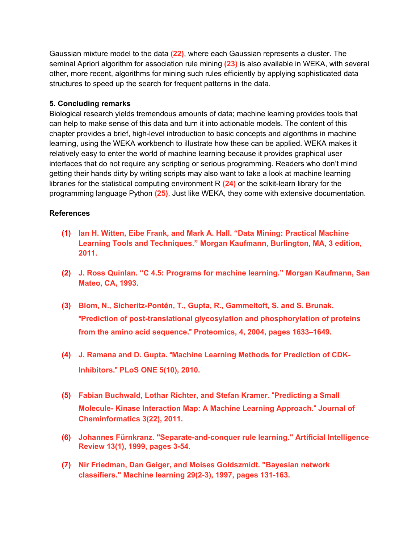Gaussian mixture model to the data **(22)**, where each Gaussian represents a cluster. The seminal Apriori algorithm for association rule mining **(23)** is also available in WEKA, with several other, more recent, algorithms for mining such rules efficiently by applying sophisticated data structures to speed up the search for frequent patterns in the data.

## **5. Concluding remarks**

Biological research yields tremendous amounts of data; machine learning provides tools that can help to make sense of this data and turn it into actionable models. The content of this chapter provides a brief, high-level introduction to basic concepts and algorithms in machine learning, using the WEKA workbench to illustrate how these can be applied. WEKA makes it relatively easy to enter the world of machine learning because it provides graphical user interfaces that do not require any scripting or serious programming. Readers who don't mind getting their hands dirty by writing scripts may also want to take a look at machine learning libraries for the statistical computing environment R **(24)** or the scikit-learn library for the programming language Python **(25)**. Just like WEKA, they come with extensive documentation.

## **References**

- **(1) Ian H. Witten, Eibe Frank, and Mark A. Hall. "Data Mining: Practical Machine Learning Tools and Techniques." Morgan Kaufmann, Burlington, MA, 3 edition, 2011.**
- **(2) J. Ross Quinlan. "C 4.5: Programs for machine learning." Morgan Kaufmann, San Mateo, CA, 1993.**
- **(3) Blom, N., Sicheritz-Pont**é**n, T., Gupta, R., Gammeltoft, S. and S. Brunak.** "**Prediction of post-translational glycosylation and phosphorylation of proteins from the amino acid sequence.**" **Proteomics, 4, 2004, pages 1633**–**1649.**
- **(4) J. Ramana and D. Gupta.** "**Machine Learning Methods for Prediction of CDK-Inhibitors.**" **PLoS ONE 5(10), 2010.**
- **(5) Fabian Buchwald, Lothar Richter, and Stefan Kramer.** "**Predicting a Small Molecule- Kinase Interaction Map: A Machine Learning Approach.**" **Journal of Cheminformatics 3(22), 2011.**
- **(6) Johannes Fürnkranz. "Separate-and-conquer rule learning." Artificial Intelligence Review 13(1), 1999, pages 3-54.**
- **(7) Nir Friedman, Dan Geiger, and Moises Goldszmidt. "Bayesian network classifiers." Machine learning 29(2-3), 1997, pages 131-163.**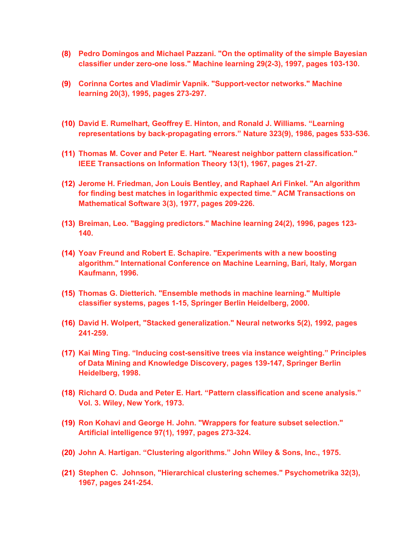- **(8) Pedro Domingos and Michael Pazzani. "On the optimality of the simple Bayesian classifier under zero-one loss." Machine learning 29(2-3), 1997, pages 103-130.**
- **(9) Corinna Cortes and Vladimir Vapnik. "Support-vector networks." Machine learning 20(3), 1995, pages 273-297.**
- **(10) David E. Rumelhart, Geoffrey E. Hinton, and Ronald J. Williams. "Learning representations by back-propagating errors." Nature 323(9), 1986, pages 533-536.**
- **(11) Thomas M. Cover and Peter E. Hart. "Nearest neighbor pattern classification." IEEE Transactions on Information Theory 13(1), 1967, pages 21-27.**
- **(12) Jerome H. Friedman, Jon Louis Bentley, and Raphael Ari Finkel. "An algorithm for finding best matches in logarithmic expected time." ACM Transactions on Mathematical Software 3(3), 1977, pages 209-226.**
- **(13) Breiman, Leo. "Bagging predictors." Machine learning 24(2), 1996, pages 123- 140.**
- **(14) Yoav Freund and Robert E. Schapire. "Experiments with a new boosting algorithm." International Conference on Machine Learning, Bari, Italy, Morgan Kaufmann, 1996.**
- **(15) Thomas G. Dietterich. "Ensemble methods in machine learning." Multiple classifier systems, pages 1-15, Springer Berlin Heidelberg, 2000.**
- **(16) David H. Wolpert, "Stacked generalization." Neural networks 5(2), 1992, pages 241-259.**
- **(17) Kai Ming Ting. "Inducing cost-sensitive trees via instance weighting." Principles of Data Mining and Knowledge Discovery, pages 139-147, Springer Berlin Heidelberg, 1998.**
- **(18) Richard O. Duda and Peter E. Hart. "Pattern classification and scene analysis." Vol. 3. Wiley, New York, 1973.**
- **(19) Ron Kohavi and George H. John. "Wrappers for feature subset selection." Artificial intelligence 97(1), 1997, pages 273-324.**
- **(20) John A. Hartigan. "Clustering algorithms." John Wiley & Sons, Inc., 1975.**
- **(21) Stephen C. Johnson, "Hierarchical clustering schemes." Psychometrika 32(3), 1967, pages 241-254.**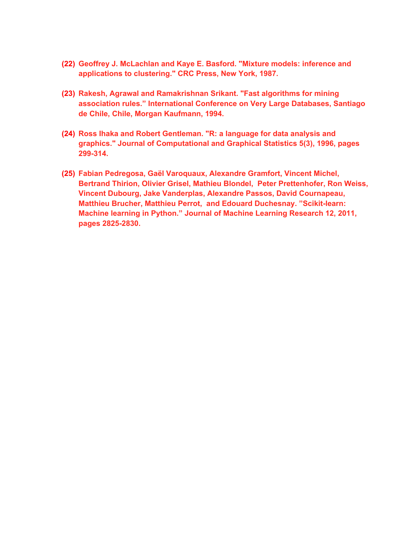- **(22) Geoffrey J. McLachlan and Kaye E. Basford. "Mixture models: inference and applications to clustering." CRC Press, New York, 1987.**
- **(23) Rakesh, Agrawal and Ramakrishnan Srikant. "Fast algorithms for mining association rules." International Conference on Very Large Databases, Santiago de Chile, Chile, Morgan Kaufmann, 1994.**
- **(24) Ross Ihaka and Robert Gentleman. "R: a language for data analysis and graphics." Journal of Computational and Graphical Statistics 5(3), 1996, pages 299-314.**
- **(25) Fabian Pedregosa, Gaël Varoquaux, Alexandre Gramfort, Vincent Michel, Bertrand Thirion, Olivier Grisel, Mathieu Blondel, Peter Prettenhofer, Ron Weiss, Vincent Dubourg, Jake Vanderplas, Alexandre Passos, David Cournapeau, Matthieu Brucher, Matthieu Perrot, and Edouard Duchesnay. "Scikit-learn: Machine learning in Python." Journal of Machine Learning Research 12, 2011, pages 2825-2830.**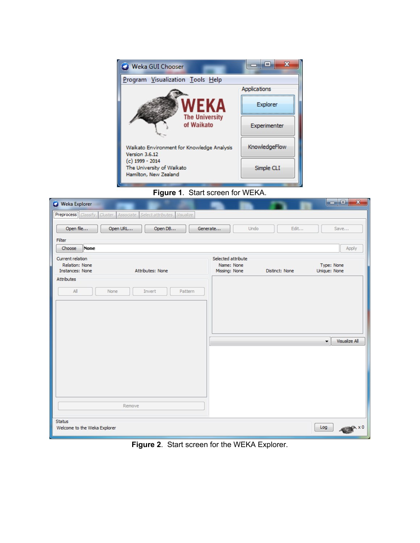

**Figure 1**. Start screen for WEKA.

| <b>Weka Explorer</b>                                                                 | أقاد<br>$\mathbf{x}$                                                                              |
|--------------------------------------------------------------------------------------|---------------------------------------------------------------------------------------------------|
| <b>Preprocess</b> Classify<br>Cluster<br>Associate<br>Select attributes<br>Visualize |                                                                                                   |
| Open file<br>Open URL<br>Open DB<br>Generate                                         | Undo<br>Edit<br>Save                                                                              |
| Filter<br>  None<br>Choose                                                           | Apply                                                                                             |
| Current relation<br>Relation: None<br>Instances: None<br>Attributes: None            | Selected attribute<br>Name: None<br>Type: None<br>Unique: None<br>Missing: None<br>Distinct: None |
| <b>Attributes</b>                                                                    |                                                                                                   |
| All<br>Pattern<br>None<br>Invert                                                     |                                                                                                   |
|                                                                                      |                                                                                                   |
|                                                                                      |                                                                                                   |
|                                                                                      |                                                                                                   |
|                                                                                      | Visualize All<br>۰.                                                                               |
|                                                                                      |                                                                                                   |
|                                                                                      |                                                                                                   |
|                                                                                      |                                                                                                   |
|                                                                                      |                                                                                                   |
|                                                                                      |                                                                                                   |
| Remove                                                                               |                                                                                                   |
|                                                                                      |                                                                                                   |
| Status<br>Welcome to the Weka Explorer                                               | Log<br>$x = 0$                                                                                    |

**Figure 2**. Start screen for the WEKA Explorer.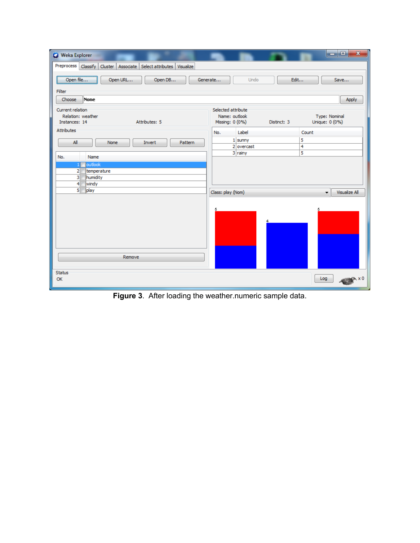| <b>Weka Explorer</b>                                                           |                                                        |                                 | $\overline{\mathbf{x}}$<br>O.<br>œ |  |  |  |  |  |
|--------------------------------------------------------------------------------|--------------------------------------------------------|---------------------------------|------------------------------------|--|--|--|--|--|
| Preprocess Classify<br>Cluster<br>Associate<br>Visualize<br>Select attributes  |                                                        |                                 |                                    |  |  |  |  |  |
| Open file<br>Open URL<br>Edit<br>Open DB<br>Undo<br>Generate<br>Save<br>Filter |                                                        |                                 |                                    |  |  |  |  |  |
| Choose<br>Apply<br>None                                                        |                                                        |                                 |                                    |  |  |  |  |  |
| Current relation<br>Relation: weather<br>Attributes: 5<br>Instances: 14        | Selected attribute<br>Name: outlook<br>Missing: 0 (0%) | Type: Nominal<br>Unique: 0 (0%) |                                    |  |  |  |  |  |
| Attributes                                                                     | Label<br>No.                                           |                                 | Count                              |  |  |  |  |  |
| All<br>Pattern<br>None<br>Invert                                               | $1$ sunny                                              |                                 | 5                                  |  |  |  |  |  |
|                                                                                | 2 overcast                                             |                                 | 4                                  |  |  |  |  |  |
| No.<br>Name                                                                    | 3 rainy                                                |                                 | 5                                  |  |  |  |  |  |
| outlook<br>2<br>temperature<br>3<br>humidity<br>windy<br>4<br>5<br>play        | Class: play (Nom)                                      |                                 | <b>Visualize All</b><br>۰          |  |  |  |  |  |
| Remove                                                                         | 5                                                      |                                 |                                    |  |  |  |  |  |
| Status<br>OK                                                                   |                                                        |                                 | Log                                |  |  |  |  |  |

**Figure 3**. After loading the weather.numeric sample data.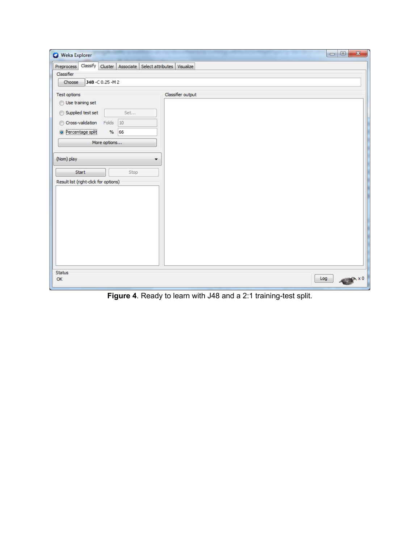| <b>Weka Explorer</b>                          |                                                              | $\overline{\phantom{a}}$ $\overline{\phantom{a}}$<br>$\mathbf{x}$ |
|-----------------------------------------------|--------------------------------------------------------------|-------------------------------------------------------------------|
| Preprocess<br>Classifier                      | Classify Cluster   Associate   Select attributes   Visualize |                                                                   |
| Choose<br>J48-C0.25-M2                        |                                                              |                                                                   |
| Test options                                  |                                                              | Classifier output                                                 |
| Use training set                              |                                                              |                                                                   |
| Supplied test set                             | Set                                                          |                                                                   |
| Cross-validation Folds                        | 10                                                           |                                                                   |
| <sup>O</sup> Percentage split<br>More options | $\%$<br>66                                                   |                                                                   |
|                                               |                                                              |                                                                   |
| (Nom) play                                    |                                                              |                                                                   |
| Start                                         | Stop                                                         |                                                                   |
| Result list (right-click for options)         |                                                              |                                                                   |
|                                               |                                                              |                                                                   |
|                                               |                                                              |                                                                   |
|                                               |                                                              |                                                                   |
|                                               |                                                              |                                                                   |
|                                               |                                                              |                                                                   |
|                                               |                                                              |                                                                   |
|                                               |                                                              |                                                                   |
| Status                                        |                                                              |                                                                   |
| OK                                            |                                                              | Log<br>$x^2$                                                      |

**Figure 4**. Ready to learn with J48 and a 2:1 training-test split.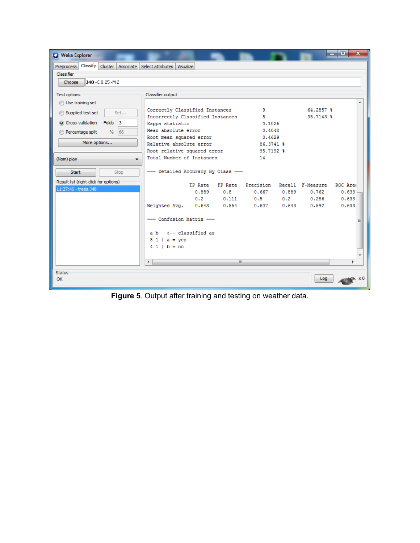| <b>C</b> Weka Explorer                                               |                                                                    |         |         |           |        |                        | o.<br>$\mathbf{x}$<br>- |  |
|----------------------------------------------------------------------|--------------------------------------------------------------------|---------|---------|-----------|--------|------------------------|-------------------------|--|
| Classify Cluster Associate Select attributes Visualize<br>Preprocess |                                                                    |         |         |           |        |                        |                         |  |
| Classifier                                                           |                                                                    |         |         |           |        |                        |                         |  |
| $148 - C 0.25 - M 2$<br>Choose                                       |                                                                    |         |         |           |        |                        |                         |  |
| <b>Test options</b>                                                  | Classifier output                                                  |         |         |           |        |                        |                         |  |
| Use training set                                                     |                                                                    |         |         |           |        |                        | ▲                       |  |
| Supplied test set<br>Set                                             | Correctly Classified Instances<br>Incorrectly Classified Instances |         |         | 9<br>5.   |        | 64.2857 %<br>35.7143 % |                         |  |
| Cross-validation<br>Folds<br>$\vert$ 3                               | Kappa statistic                                                    |         |         |           | 0.1026 |                        |                         |  |
| 66<br>Percentage split<br>$\%$                                       | Mean absolute error                                                |         |         | 0.4048    |        |                        |                         |  |
|                                                                      | Root mean squared error                                            |         |         | 0.4629    |        |                        |                         |  |
| More options                                                         | Relative absolute error                                            |         |         | 86.3741 % |        |                        |                         |  |
|                                                                      | Root relative squared error                                        |         |         | 95.7192 % |        |                        |                         |  |
| (Nom) play                                                           | Total Number of Instances<br>14                                    |         |         |           |        |                        |                         |  |
| <b>Start</b><br>Stop                                                 | === Detailed Accuracy By Class ===                                 |         |         |           |        |                        |                         |  |
| Result list (right-click for options)                                |                                                                    | TP Rate | FP Rate | Precision |        | Recall F-Measure       | ROC Area                |  |
| 11:27:46 - trees. J48                                                |                                                                    | 0.889   | $0.8 -$ | 0.667     | 0.889  | 0.762                  | 0.633                   |  |
|                                                                      |                                                                    | 0.2     | 0.111   | 0.5       | 0.2    | 0.286                  | 0.633                   |  |
|                                                                      | Weighted Avg.                                                      | 0.643   | 0.554   | 0.607     | 0.643  | 0.592                  | 0.633                   |  |
|                                                                      | $==$ Confusion Matrix $==$                                         |         |         |           |        |                        |                         |  |
|                                                                      | a b <-- classified as                                              |         |         |           |        |                        |                         |  |
|                                                                      | $8 1   a = yes$                                                    |         |         |           |        |                        |                         |  |
|                                                                      | $4 1   b = no$                                                     |         |         |           |        |                        |                         |  |
|                                                                      |                                                                    |         |         |           |        |                        |                         |  |
|                                                                      | $\leftarrow$<br>m.                                                 |         |         |           |        |                        |                         |  |
| Status<br>OK                                                         |                                                                    |         |         |           |        | Log                    |                         |  |

**Figure 5**. Output after training and testing on weather data.